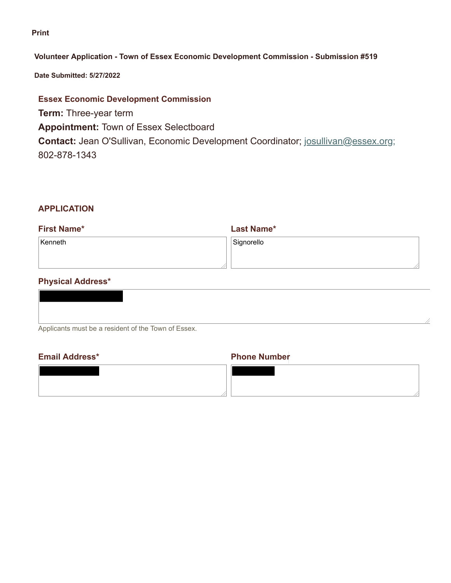#### **Print**

#### **Volunteer Application - Town of Essex Economic Development Commission - Submission #519**

**Date Submitted: 5/27/2022**

## **Essex Economic Development Commission**

**Term:** Three-year term **Appointment:** Town of Essex Selectboard **Contact:** Jean O'Sullivan, Economic Development Coordinator; josullivan@essex.org; 802-878-1343

## **APPLICATION**

| <b>First Name*</b> | <b>Last Name*</b> |
|--------------------|-------------------|
| Kenneth            | Signorello        |
|                    |                   |

# **Physical Address\***

| Applicants must be a resident of the Town of Essex. |  |
|-----------------------------------------------------|--|
|                                                     |  |

# **Email Address\* Phone Number**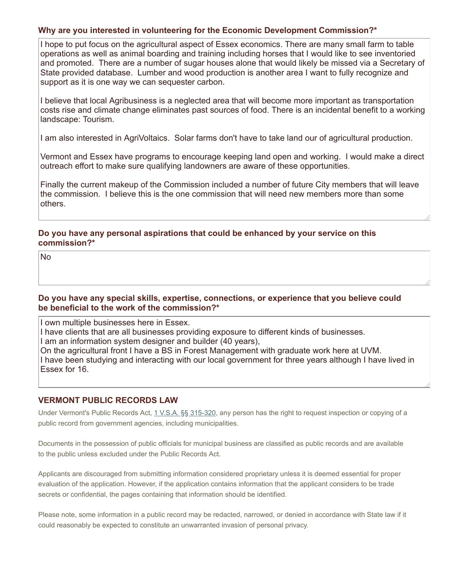### **Why are you interested in volunteering for the Economic Development Commission?\***

I hope to put focus on the agricultural aspect of Essex economics. There are many small farm to table operations as well as animal boarding and training including horses that I would like to see inventoried and promoted. There are a number of sugar houses alone that would likely be missed via a Secretary of State provided database. Lumber and wood production is another area I want to fully recognize and support as it is one way we can sequester carbon.

I believe that local Agribusiness is a neglected area that will become more important as transportation costs rise and climate change eliminates past sources of food. There is an incidental benefit to a working landscape: Tourism.

I am also interested in AgriVoltaics. Solar farms don't have to take land our of agricultural production.

Vermont and Essex have programs to encourage keeping land open and working. I would make a direct outreach effort to make sure qualifying landowners are aware of these opportunities.

Finally the current makeup of the Commission included a number of future City members that will leave the commission. I believe this is the one commission that will need new members more than some others.

### **Do you have any personal aspirations that could be enhanced by your service on this commission?\***

No

#### **Do you have any special skills, expertise, connections, or experience that you believe could be beneficial to the work of the commission?\***

I own multiple businesses here in Essex.

I have clients that are all businesses providing exposure to different kinds of businesses.

I am an information system designer and builder (40 years),

On the agricultural front I have a BS in Forest Management with graduate work here at UVM. I have been studying and interacting with our local government for three years although I have lived in Essex for 16.

### **VERMONT PUBLIC RECORDS LAW**

Under Vermont's Public Records Act, 1 V.S.A. §§ 315-320, any person has the right to request inspection or copying of a public record from government agencies, including municipalities.

Documents in the possession of public officials for municipal business are classified as public records and are available to the public unless excluded under the Public Records Act.

Applicants are discouraged from submitting information considered proprietary unless it is deemed essential for proper evaluation of the application. However, if the application contains information that the applicant considers to be trade secrets or confidential, the pages containing that information should be identified.

Please note, some information in a public record may be redacted, narrowed, or denied in accordance with State law if it could reasonably be expected to constitute an unwarranted invasion of personal privacy.